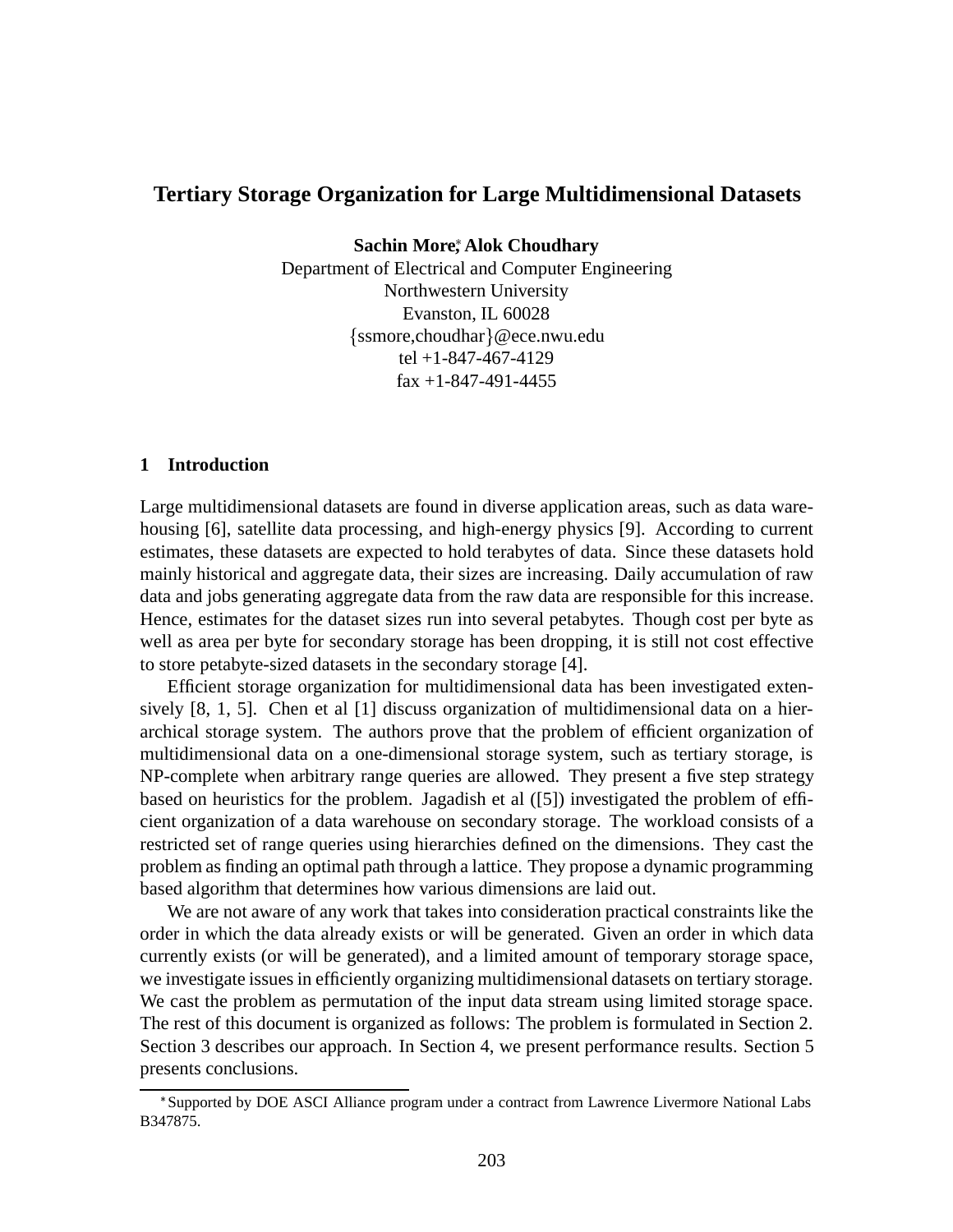## **Tertiary Storage Organization for Large Multidimensional Datasets**

**Sachin More , Alok Choudhary**

Department of Electrical and Computer Engineering Northwestern University Evanston, IL 60028  $\{ssmore, cloudhar\}$ @ece.nwu.edu tel +1-847-467-4129  $\text{fax} + 1 - 847 - 491 - 4455$ 

### **1 Introduction**

Large multidimensional datasets are found in diverse application areas, such as data warehousing [6], satellite data processing, and high-energy physics [9]. According to current estimates, these datasets are expected to hold terabytes of data. Since these datasets hold mainly historical and aggregate data, their sizes are increasing. Daily accumulation of raw data and jobs generating aggregate data from the raw data are responsible for this increase. Hence, estimates for the dataset sizes run into several petabytes. Though cost per byte as well as area per byte for secondary storage has been dropping, it is still not cost effective to store petabyte-sized datasets in the secondary storage [4].

Efficient storage organization for multidimensional data has been investigated extensively [8, 1, 5]. Chen et al [1] discuss organization of multidimensional data on a hierarchical storage system. The authors prove that the problem of efficient organization of multidimensional data on a one-dimensional storage system, such as tertiary storage, is NP-complete when arbitrary range queries are allowed. They present a five step strategy based on heuristics for the problem. Jagadish et al ([5]) investigated the problem of efficient organization of a data warehouse on secondary storage. The workload consists of a restricted set of range queries using hierarchies defined on the dimensions. They cast the problem as finding an optimal path through a lattice. They propose a dynamic programming based algorithm that determines how various dimensions are laid out.

We are not aware of any work that takes into consideration practical constraints like the order in which the data already exists or will be generated. Given an order in which data currently exists (or will be generated), and a limited amount of temporary storage space, we investigate issues in efficiently organizing multidimensional datasets on tertiary storage. We cast the problem as permutation of the input data stream using limited storage space. The rest of this document is organized as follows: The problem is formulated in Section 2. Section 3 describes our approach. In Section 4, we present performance results. Section 5 presents conclusions.

<sup>\*</sup>Supported by DOE ASCI Alliance program under a contract from Lawrence Livermore National Labs B347875.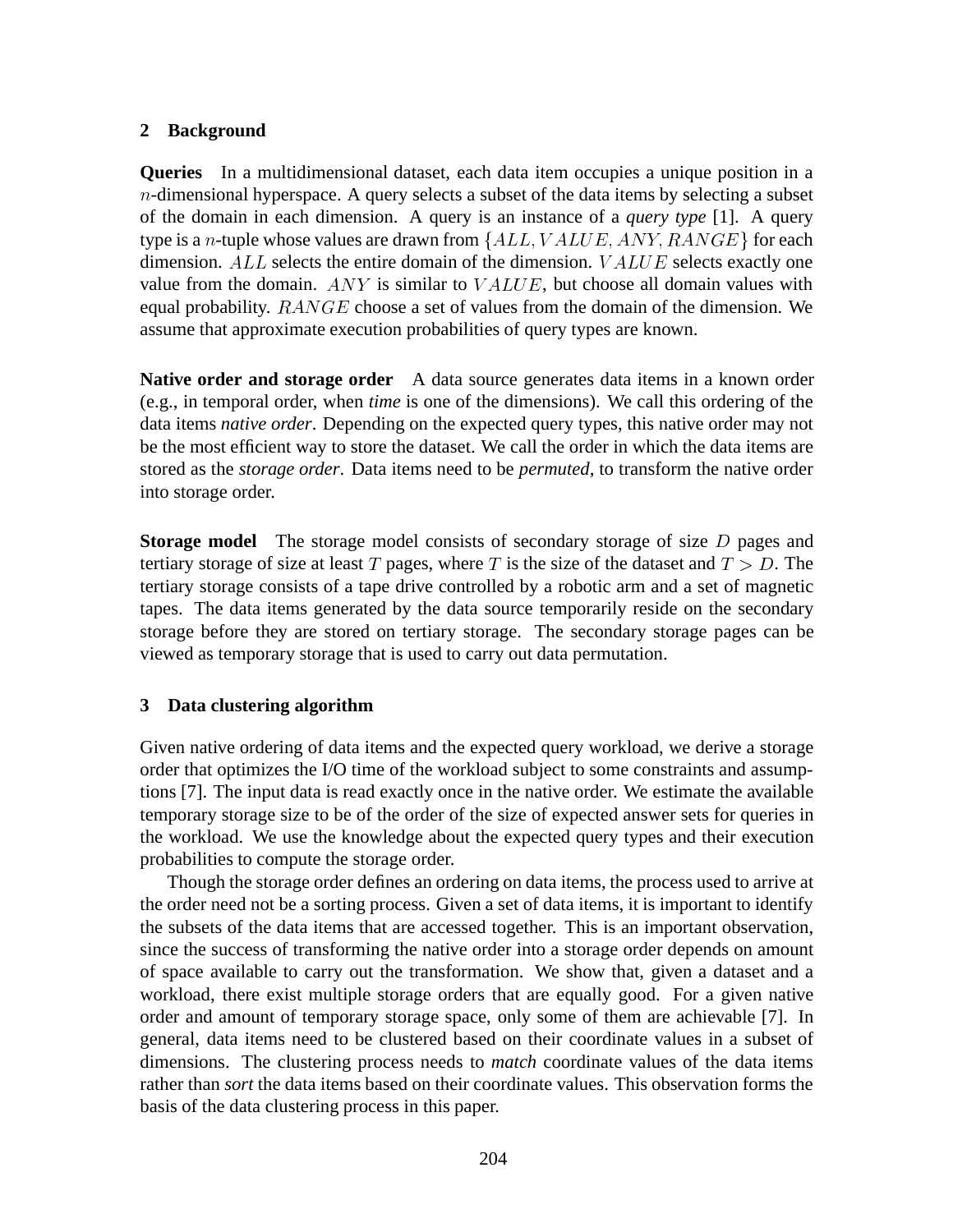# **2 Background**

**Queries** In a multidimensional dataset, each data item occupies a unique position in a  $n$ -dimensional hyperspace. A query selects a subset of the data items by selecting a subset of the domain in each dimension. A query is an instance of a *query type* [1]. A query type is a *n*-tuple whose values are drawn from  $\{ALL, VALUE, ANY, RANGE\}$  for each dimension.  $ALL$  selects the entire domain of the dimension.  $VALUE$  selects exactly one value from the domain.  $ANY$  is similar to  $VALUE$ , but choose all domain values with equal probability.  $RANGE$  choose a set of values from the domain of the dimension. We assume that approximate execution probabilities of query types are known.

**Native order and storage order** A data source generates data items in a known order (e.g., in temporal order, when *time* is one of the dimensions). We call this ordering of the data items *native order*. Depending on the expected query types, this native order may not be the most efficient way to store the dataset. We call the order in which the data items are stored as the *storage order*. Data items need to be *permuted*, to transform the native order into storage order.

**Storage model** The storage model consists of secondary storage of size D pages and tertiary storage of size at least T pages, where T is the size of the dataset and  $T > D$ . The tertiary storage consists of a tape drive controlled by a robotic arm and a set of magnetic tapes. The data items generated by the data source temporarily reside on the secondary storage before they are stored on tertiary storage. The secondary storage pages can be viewed as temporary storage that is used to carry out data permutation.

## **3 Data clustering algorithm**

Given native ordering of data items and the expected query workload, we derive a storage order that optimizes the I/O time of the workload subject to some constraints and assumptions [7]. The input data is read exactly once in the native order. We estimate the available temporary storage size to be of the order of the size of expected answer sets for queries in the workload. We use the knowledge about the expected query types and their execution probabilities to compute the storage order.

Though the storage order defines an ordering on data items, the process used to arrive at the order need not be a sorting process. Given a set of data items, it is important to identify the subsets of the data items that are accessed together. This is an important observation, since the success of transforming the native order into a storage order depends on amount of space available to carry out the transformation. We show that, given a dataset and a workload, there exist multiple storage orders that are equally good. For a given native order and amount of temporary storage space, only some of them are achievable [7]. In general, data items need to be clustered based on their coordinate values in a subset of dimensions. The clustering process needs to *match* coordinate values of the data items rather than *sort* the data items based on their coordinate values. This observation forms the basis of the data clustering process in this paper.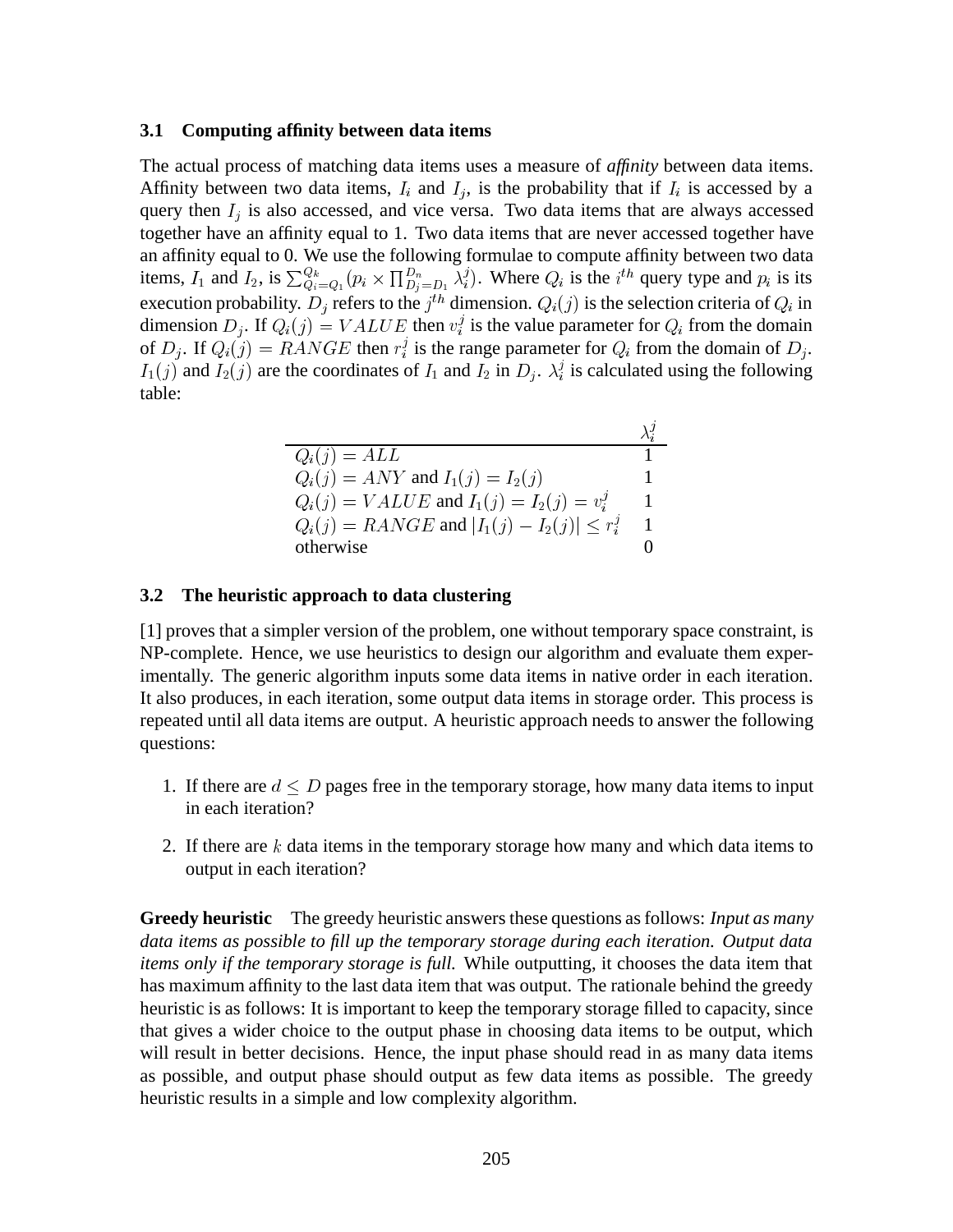#### **3.1 Computing affinity between data items**

The actual process of matching data items uses a measure of *affinity* between data items. Affinity between two data items,  $I_i$  and  $I_j$ , is the probability that if  $I_i$  is accessed by a query then  $I_i$  is also accessed, and vice versa. Two data items that are always accessed together have an affinity equal to 1. Two data items that are never accessed together have an affinity equal to 0. We use the following formulae to compute affinity between two data items,  $I_1$  and  $I_2$ , is  $\sum_{Q_i=Q_1}^{Q_k} (p_i \times \prod_{D_i=D_1}^{D_n} \lambda_i^j)$ . Where  $Q_i$  is the  $i^{th}$  query type and  $p_i$  is its execution probability.  $D_i$  refers to the  $j^{th}$  dimension.  $Q_i(j)$  is the selection criteria of  $Q_i$  in dimension  $D_i$ . If  $Q_i(j) = VALUE$  then  $v_i^j$  is the value parameter for  $Q_i$  from the domain of  $D_i$ . If  $Q_i(j) = RANGE$  then  $r_i^j$  is the range parameter for  $Q_i$  from the domain of  $D_i$ .  $I_1(j)$  and  $I_2(j)$  are the coordinates of  $I_1$  and  $I_2$  in  $D_j$ .  $\lambda_i^j$  is calculated using the following table:

| $Q_i(j) = ALL$                                     |  |
|----------------------------------------------------|--|
| $Q_i(j) = ANY$ and $I_1(j) = I_2(j)$               |  |
| $Q_i(j) = VALUE$ and $I_1(j) = I_2(j) = v_i^j$     |  |
| $Q_i(j) = RANGE$ and $ I_1(j) - I_2(j)  \le r_i^j$ |  |
| otherwise                                          |  |

#### **3.2 The heuristic approach to data clustering**

[1] proves that a simpler version of the problem, one without temporary space constraint, is NP-complete. Hence, we use heuristics to design our algorithm and evaluate them experimentally. The generic algorithm inputs some data items in native order in each iteration. It also produces, in each iteration, some output data items in storage order. This process is repeated until all data items are output. A heuristic approach needs to answer the following questions:

- 1. If there are  $d \leq D$  pages free in the temporary storage, how many data items to input in each iteration?
- 2. If there are  $k$  data items in the temporary storage how many and which data items to output in each iteration?

**Greedy heuristic** The greedy heuristic answers these questions as follows: *Input as many data items as possible to fill up the temporary storage during each iteration. Output data items only if the temporary storage is full.* While outputting, it chooses the data item that has maximum affinity to the last data item that was output. The rationale behind the greedy heuristic is as follows: It is important to keep the temporary storage filled to capacity, since that gives a wider choice to the output phase in choosing data items to be output, which will result in better decisions. Hence, the input phase should read in as many data items as possible, and output phase should output as few data items as possible. The greedy heuristic results in a simple and low complexity algorithm.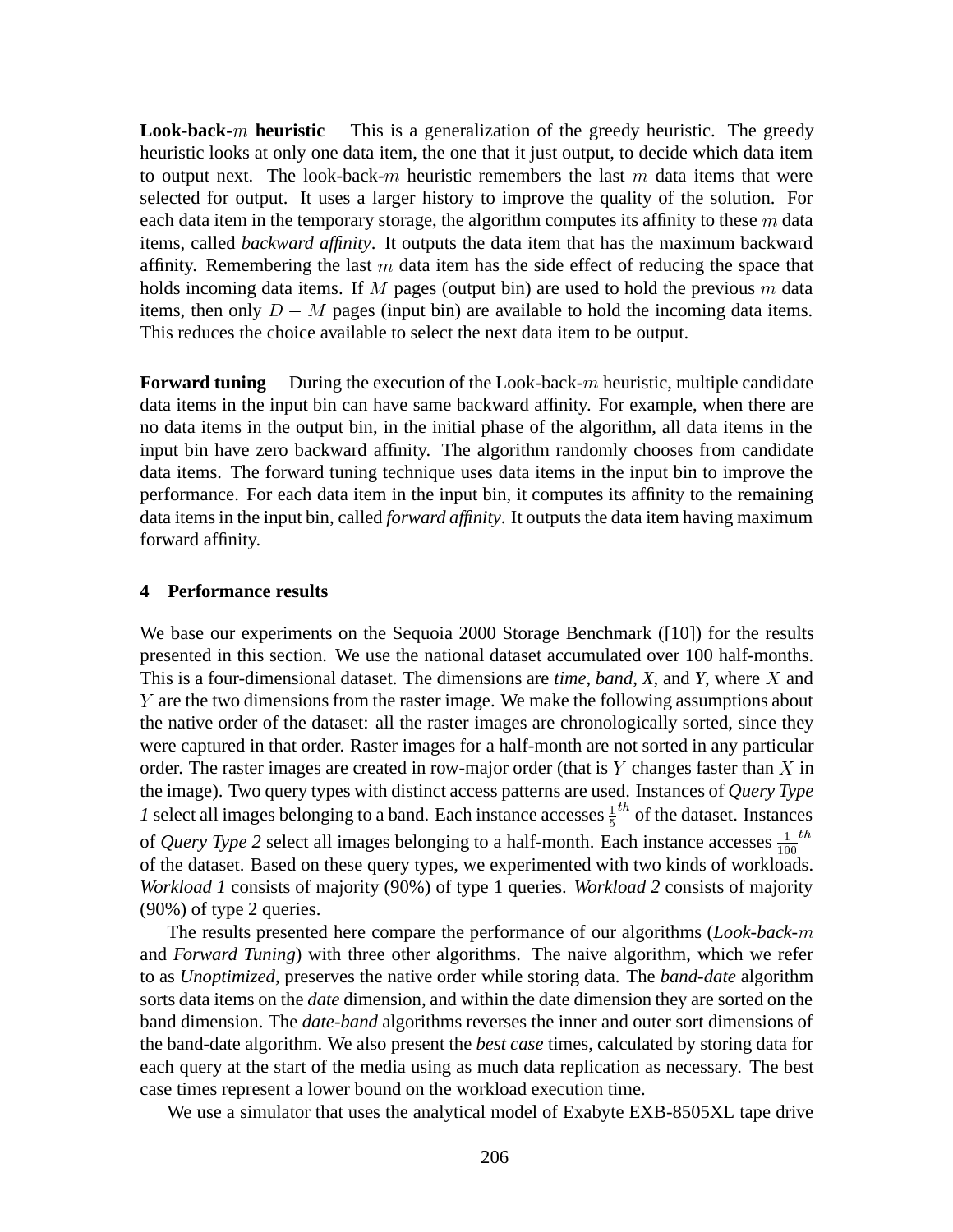**Look-back-**m **heuristic** This is a generalization of the greedy heuristic. The greedy heuristic looks at only one data item, the one that it just output, to decide which data item to output next. The look-back-m heuristic remembers the last  $m$  data items that were selected for output. It uses a larger history to improve the quality of the solution. For each data item in the temporary storage, the algorithm computes its affinity to these  $m$  data items, called *backward affinity*. It outputs the data item that has the maximum backward affinity. Remembering the last  $m$  data item has the side effect of reducing the space that holds incoming data items. If M pages (output bin) are used to hold the previous  $m$  data items, then only  $D - M$  pages (input bin) are available to hold the incoming data items. This reduces the choice available to select the next data item to be output.

**Forward tuning** During the execution of the Look-back-m heuristic, multiple candidate data items in the input bin can have same backward affinity. For example, when there are no data items in the output bin, in the initial phase of the algorithm, all data items in the input bin have zero backward affinity. The algorithm randomly chooses from candidate data items. The forward tuning technique uses data items in the input bin to improve the performance. For each data item in the input bin, it computes its affinity to the remaining data items in the input bin, called *forward affinity*. It outputs the data item having maximum forward affinity.

### **4 Performance results**

We base our experiments on the Sequoia 2000 Storage Benchmark ([10]) for the results presented in this section. We use the national dataset accumulated over 100 half-months. This is a four-dimensional dataset. The dimensions are *time*, *band*, *X*, and *Y*, where X and Y are the two dimensions from the raster image. We make the following assumptions about the native order of the dataset: all the raster images are chronologically sorted, since they were captured in that order. Raster images for a half-month are not sorted in any particular order. The raster images are created in row-major order (that is  $Y$  changes faster than  $X$  in the image). Two query types with distinct access patterns are used. Instances of *Query Type 1* select all images belonging to a band. Each instance accesses  $\frac{1}{5}$  of the dataset. Instances of *Query Type 2* select all images belonging to a half-month. Each instance accesses  $\frac{1}{100}$ <sup>th</sup> of the dataset. Based on these query types, we experimented with two kinds of workloads. *Workload 1* consists of majority (90%) of type 1 queries. *Workload 2* consists of majority (90%) of type 2 queries.

The results presented here compare the performance of our algorithms (*Look-back-*m and *Forward Tuning*) with three other algorithms. The naive algorithm, which we refer to as *Unoptimized*, preserves the native order while storing data. The *band-date* algorithm sorts data items on the *date* dimension, and within the date dimension they are sorted on the band dimension. The *date-band* algorithms reverses the inner and outer sort dimensions of the band-date algorithm. We also present the *best case* times, calculated by storing data for each query at the start of the media using as much data replication as necessary. The best case times represent a lower bound on the workload execution time.

We use a simulator that uses the analytical model of Exabyte EXB-8505XL tape drive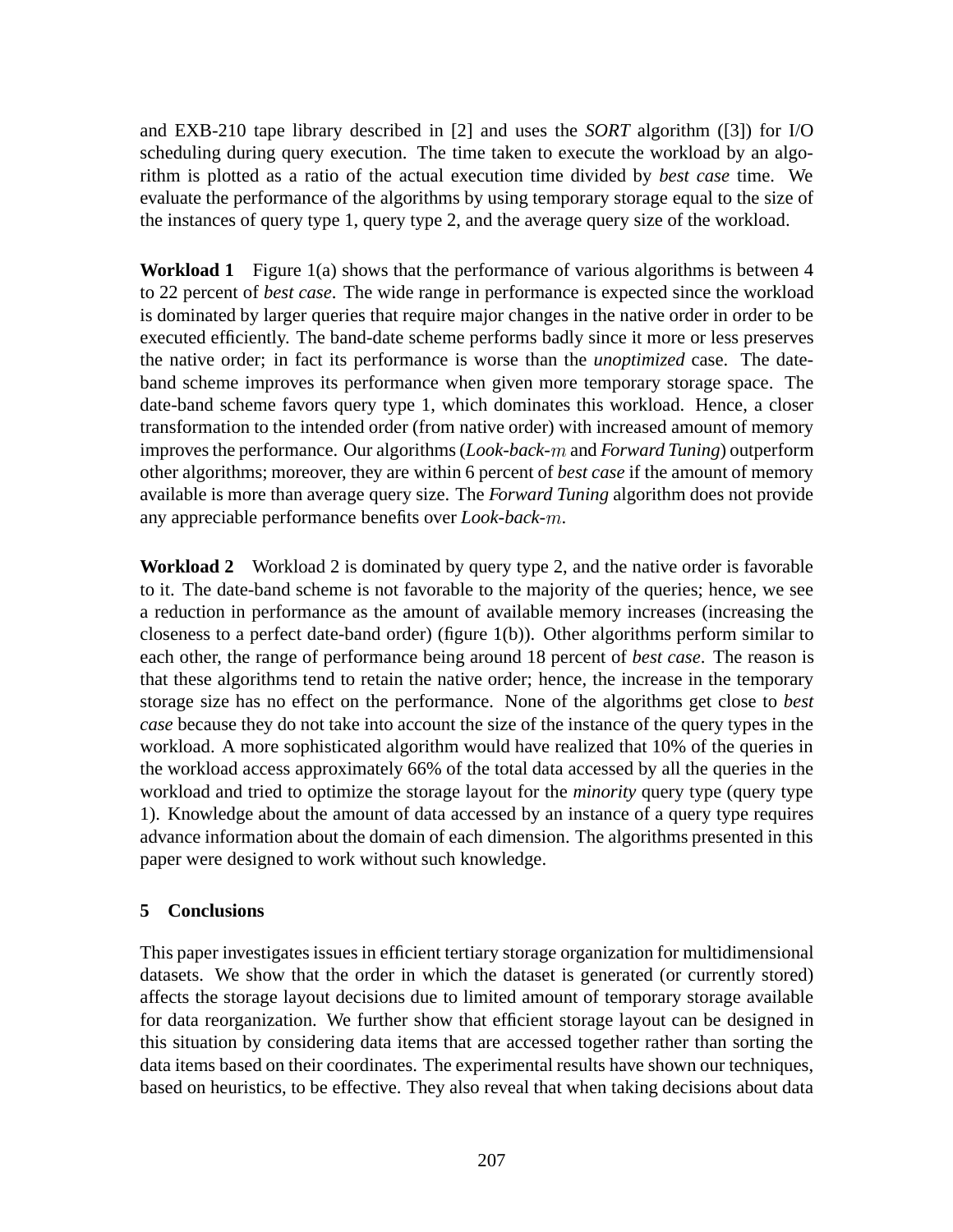and EXB-210 tape library described in [2] and uses the *SORT* algorithm ([3]) for I/O scheduling during query execution. The time taken to execute the workload by an algorithm is plotted as a ratio of the actual execution time divided by *best case* time. We evaluate the performance of the algorithms by using temporary storage equal to the size of the instances of query type 1, query type 2, and the average query size of the workload.

**Workload 1** Figure 1(a) shows that the performance of various algorithms is between 4 to 22 percent of *best case*. The wide range in performance is expected since the workload is dominated by larger queries that require major changes in the native order in order to be executed efficiently. The band-date scheme performs badly since it more or less preserves the native order; in fact its performance is worse than the *unoptimized* case. The dateband scheme improves its performance when given more temporary storage space. The date-band scheme favors query type 1, which dominates this workload. Hence, a closer transformation to the intended order (from native order) with increased amount of memory improves the performance. Our algorithms (*Look-back-*m and *Forward Tuning*) outperform other algorithms; moreover, they are within 6 percent of *best case* if the amount of memory available is more than average query size. The *Forward Tuning* algorithm does not provide any appreciable performance benefits over *Look-back-*m.

**Workload 2** Workload 2 is dominated by query type 2, and the native order is favorable to it. The date-band scheme is not favorable to the majority of the queries; hence, we see a reduction in performance as the amount of available memory increases (increasing the closeness to a perfect date-band order) (figure 1(b)). Other algorithms perform similar to each other, the range of performance being around 18 percent of *best case*. The reason is that these algorithms tend to retain the native order; hence, the increase in the temporary storage size has no effect on the performance. None of the algorithms get close to *best case* because they do not take into account the size of the instance of the query types in the workload. A more sophisticated algorithm would have realized that 10% of the queries in the workload access approximately 66% of the total data accessed by all the queries in the workload and tried to optimize the storage layout for the *minority* query type (query type 1). Knowledge about the amount of data accessed by an instance of a query type requires advance information about the domain of each dimension. The algorithms presented in this paper were designed to work without such knowledge.

# **5 Conclusions**

This paper investigates issues in efficient tertiary storage organization for multidimensional datasets. We show that the order in which the dataset is generated (or currently stored) affects the storage layout decisions due to limited amount of temporary storage available for data reorganization. We further show that efficient storage layout can be designed in this situation by considering data items that are accessed together rather than sorting the data items based on their coordinates. The experimental results have shown our techniques, based on heuristics, to be effective. They also reveal that when taking decisions about data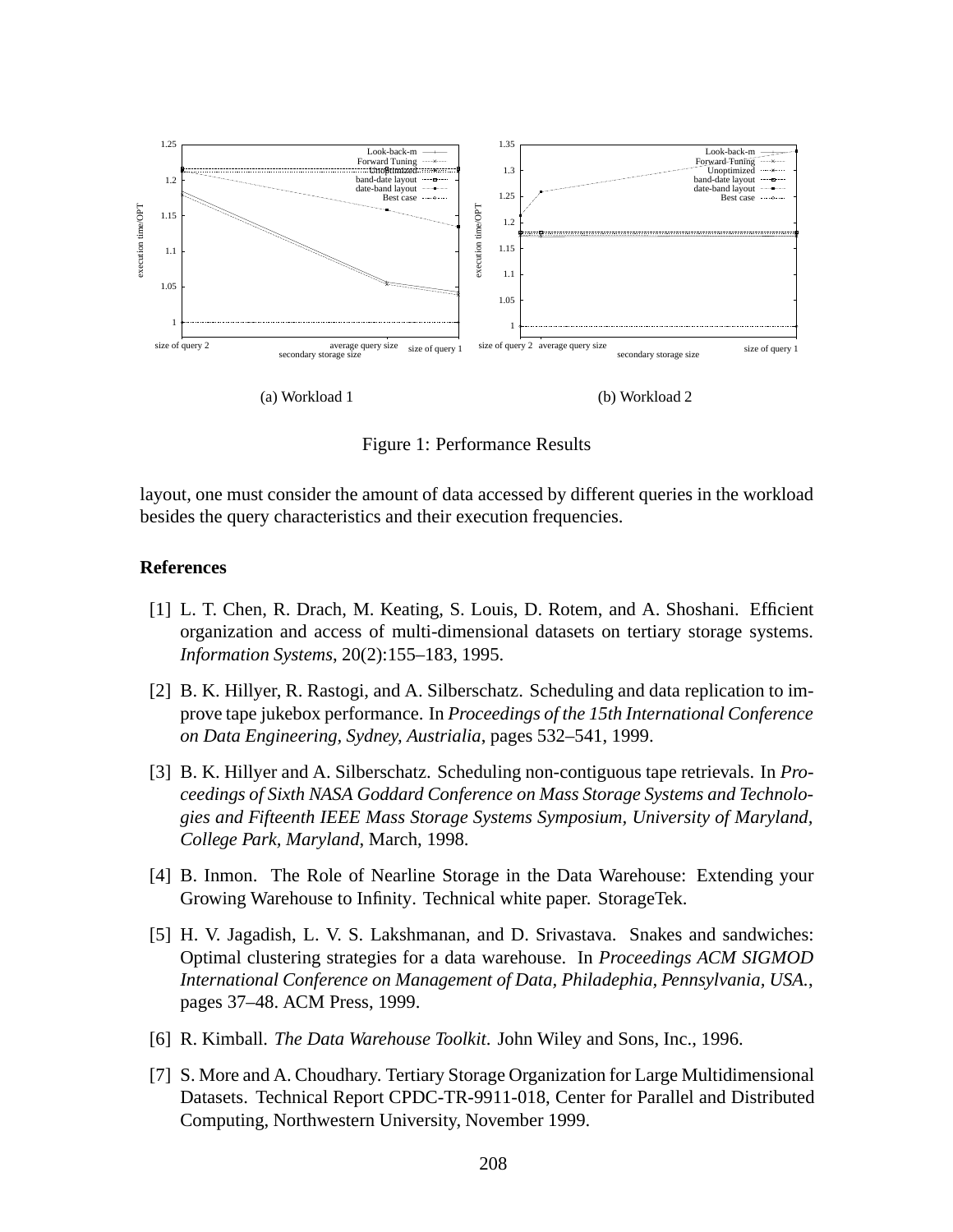

Figure 1: Performance Results

layout, one must consider the amount of data accessed by different queries in the workload besides the query characteristics and their execution frequencies.

### **References**

- [1] L. T. Chen, R. Drach, M. Keating, S. Louis, D. Rotem, and A. Shoshani. Efficient organization and access of multi-dimensional datasets on tertiary storage systems. *Information Systems*, 20(2):155–183, 1995.
- [2] B. K. Hillyer, R. Rastogi, and A. Silberschatz. Scheduling and data replication to improve tape jukebox performance. In *Proceedings of the 15th International Conference on Data Engineering, Sydney, Austrialia*, pages 532–541, 1999.
- [3] B. K. Hillyer and A. Silberschatz. Scheduling non-contiguous tape retrievals. In *Proceedings of Sixth NASA Goddard Conference on Mass Storage Systems and Technologies and Fifteenth IEEE Mass Storage Systems Symposium, University of Maryland, College Park, Maryland*, March, 1998.
- [4] B. Inmon. The Role of Nearline Storage in the Data Warehouse: Extending your Growing Warehouse to Infinity. Technical white paper. StorageTek.
- [5] H. V. Jagadish, L. V. S. Lakshmanan, and D. Srivastava. Snakes and sandwiches: Optimal clustering strategies for a data warehouse. In *Proceedings ACM SIGMOD International Conference on Management of Data, Philadephia, Pennsylvania, USA.*, pages 37–48. ACM Press, 1999.
- [6] R. Kimball. *The Data Warehouse Toolkit*. John Wiley and Sons, Inc., 1996.
- [7] S. More and A. Choudhary. Tertiary Storage Organization for Large Multidimensional Datasets. Technical Report CPDC-TR-9911-018, Center for Parallel and Distributed Computing, Northwestern University, November 1999.